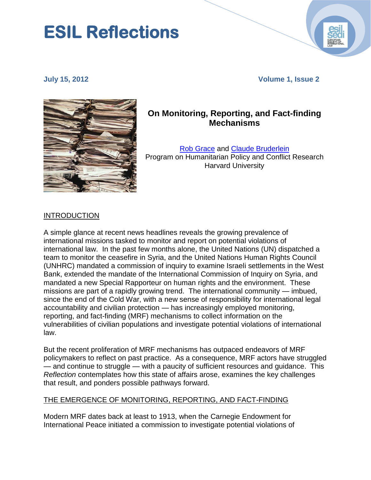# **ESIL Reflections**

**July 15, 2012 Volume 1, Issue 2**



## **On Monitoring, Reporting, and Fact-finding Mechanisms**

[Rob Grace](http://hpcrresearch.org/users/rob-grace) and [Claude Bruderlein](http://hpcrresearch.org/users/claudebruderlein) Program on Humanitarian Policy and Conflict Research Harvard University

#### INTRODUCTION

A simple glance at recent news headlines reveals the growing prevalence of international missions tasked to monitor and report on potential violations of international law. In the past few months alone, the United Nations (UN) dispatched a team to monitor the ceasefire in Syria, and the United Nations Human Rights Council (UNHRC) mandated a commission of inquiry to examine Israeli settlements in the West Bank, extended the mandate of the International Commission of Inquiry on Syria, and mandated a new Special Rapporteur on human rights and the environment. These missions are part of a rapidly growing trend. The international community — imbued, since the end of the Cold War, with a new sense of responsibility for international legal accountability and civilian protection — has increasingly employed monitoring, reporting, and fact-finding (MRF) mechanisms to collect information on the vulnerabilities of civilian populations and investigate potential violations of international law.

But the recent proliferation of MRF mechanisms has outpaced endeavors of MRF policymakers to reflect on past practice. As a consequence, MRF actors have struggled — and continue to struggle — with a paucity of sufficient resources and guidance. This *Reflection* contemplates how this state of affairs arose, examines the key challenges that result, and ponders possible pathways forward.

#### THE EMERGENCE OF MONITORING, REPORTING, AND FACT-FINDING

Modern MRF dates back at least to 1913, when the Carnegie Endowment for International Peace initiated a commission to investigate potential violations of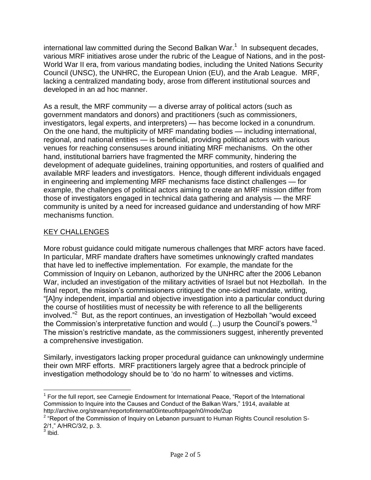international law committed during the Second Balkan War.<sup>1</sup> In subsequent decades, various MRF initiatives arose under the rubric of the League of Nations, and in the post-World War II era, from various mandating bodies, including the United Nations Security Council (UNSC), the UNHRC, the European Union (EU), and the Arab League. MRF, lacking a centralized mandating body, arose from different institutional sources and developed in an ad hoc manner.

As a result, the MRF community — a diverse array of political actors (such as government mandators and donors) and practitioners (such as commissioners, investigators, legal experts, and interpreters) — has become locked in a conundrum. On the one hand, the multiplicity of MRF mandating bodies — including international, regional, and national entities — is beneficial, providing political actors with various venues for reaching consensuses around initiating MRF mechanisms. On the other hand, institutional barriers have fragmented the MRF community, hindering the development of adequate guidelines, training opportunities, and rosters of qualified and available MRF leaders and investigators. Hence, though different individuals engaged in engineering and implementing MRF mechanisms face distinct challenges — for example, the challenges of political actors aiming to create an MRF mission differ from those of investigators engaged in technical data gathering and analysis — the MRF community is united by a need for increased guidance and understanding of how MRF mechanisms function.

#### KEY CHALLENGES

More robust guidance could mitigate numerous challenges that MRF actors have faced. In particular, MRF mandate drafters have sometimes unknowingly crafted mandates that have led to ineffective implementation. For example, the mandate for the Commission of Inquiry on Lebanon, authorized by the UNHRC after the 2006 Lebanon War, included an investigation of the military activities of Israel but not Hezbollah. In the final report, the mission's commissioners critiqued the one-sided mandate, writing, "[A]ny independent, impartial and objective investigation into a particular conduct during the course of hostilities must of necessity be with reference to all the belligerents involved."<sup>2</sup> But, as the report continues, an investigation of Hezbollah "would exceed the Commission's interpretative function and would  $(...)$  usurp the Council's powers."<sup>3</sup> The mission's restrictive mandate, as the commissioners suggest, inherently prevented a comprehensive investigation.

Similarly, investigators lacking proper procedural guidance can unknowingly undermine their own MRF efforts. MRF practitioners largely agree that a bedrock principle of investigation methodology should be to 'do no harm' to witnesses and victims.

 $\overline{a}$ <sup>1</sup> For the full report, see Carnegie Endowment for International Peace, "Report of the International Commission to Inquire into the Causes and Conduct of the Balkan Wars," 1914, available at http://archive.org/stream/reportofinternat00inteuoft#page/n0/mode/2up

 $2$  "Report of the Commission of Inquiry on Lebanon pursuant to Human Rights Council resolution S-2/1," A/HRC/3/2, p. 3.<br><sup>3</sup> Ibid.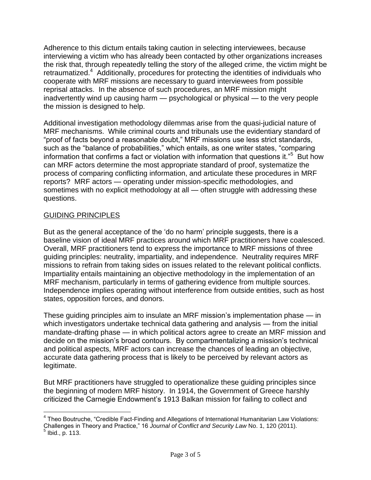Adherence to this dictum entails taking caution in selecting interviewees, because interviewing a victim who has already been contacted by other organizations increases the risk that, through repeatedly telling the story of the alleged crime, the victim might be retraumatized.<sup>4</sup> Additionally, procedures for protecting the identities of individuals who cooperate with MRF missions are necessary to guard interviewees from possible reprisal attacks. In the absence of such procedures, an MRF mission might inadvertently wind up causing harm — psychological or physical — to the very people the mission is designed to help.

Additional investigation methodology dilemmas arise from the quasi-judicial nature of MRF mechanisms. While criminal courts and tribunals use the evidentiary standard of "proof of facts beyond a reasonable doubt," MRF missions use less strict standards, such as the "balance of probabilities," which entails, as one writer states, "comparing information that confirms a fact or violation with information that questions it."<sup>5</sup> But how can MRF actors determine the most appropriate standard of proof, systematize the process of comparing conflicting information, and articulate these procedures in MRF reports? MRF actors — operating under mission-specific methodologies, and sometimes with no explicit methodology at all — often struggle with addressing these questions.

#### GUIDING PRINCIPLES

 $\overline{a}$ 

But as the general acceptance of the 'do no harm' principle suggests, there is a baseline vision of ideal MRF practices around which MRF practitioners have coalesced. Overall, MRF practitioners tend to express the importance to MRF missions of three guiding principles: neutrality, impartiality, and independence. Neutrality requires MRF missions to refrain from taking sides on issues related to the relevant political conflicts. Impartiality entails maintaining an objective methodology in the implementation of an MRF mechanism, particularly in terms of gathering evidence from multiple sources. Independence implies operating without interference from outside entities, such as host states, opposition forces, and donors.

These guiding principles aim to insulate an MRF mission's implementation phase — in which investigators undertake technical data gathering and analysis — from the initial mandate-drafting phase — in which political actors agree to create an MRF mission and decide on the mission's broad contours. By compartmentalizing a mission's technical and political aspects, MRF actors can increase the chances of leading an objective, accurate data gathering process that is likely to be perceived by relevant actors as legitimate.

But MRF practitioners have struggled to operationalize these guiding principles since the beginning of modern MRF history. In 1914, the Government of Greece harshly criticized the Carnegie Endowment's 1913 Balkan mission for failing to collect and

<sup>&</sup>lt;sup>4</sup> Theo Boutruche, "Credible Fact-Finding and Allegations of International Humanitarian Law Violations: Challenges in Theory and Practice," 16 *Journal of Conflict and Security Law* No. 1, 120 (2011).<br><sup>5</sup> Ibid., p. 113.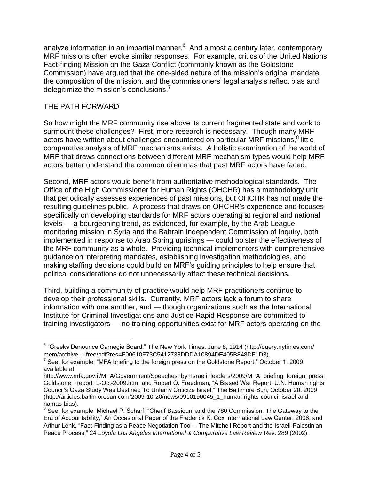analyze information in an impartial manner.<sup>6</sup> And almost a century later, contemporary MRF missions often evoke similar responses. For example, critics of the United Nations Fact-finding Mission on the Gaza Conflict (commonly known as the Goldstone Commission) have argued that the one-sided nature of the mission's original mandate, the composition of the mission, and the commissioners' legal analysis reflect bias and delegitimize the mission's conclusions.

### THE PATH FORWARD

So how might the MRF community rise above its current fragmented state and work to surmount these challenges? First, more research is necessary. Though many MRF actors have written about challenges encountered on particular MRF missions,<sup>8</sup> little comparative analysis of MRF mechanisms exists. A holistic examination of the world of MRF that draws connections between different MRF mechanism types would help MRF actors better understand the common dilemmas that past MRF actors have faced.

Second, MRF actors would benefit from authoritative methodological standards. The Office of the High Commissioner for Human Rights (OHCHR) has a methodology unit that periodically assesses experiences of past missions, but OHCHR has not made the resulting guidelines public. A process that draws on OHCHR's experience and focuses specifically on developing standards for MRF actors operating at regional and national levels — a bourgeoning trend, as evidenced, for example, by the Arab League monitoring mission in Syria and the Bahrain Independent Commission of Inquiry, both implemented in response to Arab Spring uprisings — could bolster the effectiveness of the MRF community as a whole. Providing technical implementers with comprehensive guidance on interpreting mandates, establishing investigation methodologies, and making staffing decisions could build on MRF's guiding principles to help ensure that political considerations do not unnecessarily affect these technical decisions.

Third, building a community of practice would help MRF practitioners continue to develop their professional skills. Currently, MRF actors lack a forum to share information with one another, and — though organizations such as the International Institute for Criminal Investigations and Justice Rapid Response are committed to training investigators — no training opportunities exist for MRF actors operating on the

 $\overline{a}$ <sup>6</sup> "Greeks Denounce Carnegie Board," The New York Times, June 8, 1914 (http://query.nytimes.com/ mem/archive-.‑‑free/pdf?res=F00610F73C5412738DDDA10894DE405B848DF1D3).

 $7$  See, for example, "MFA briefing to the foreign press on the Goldstone Report," October 1, 2009, available at

http://www.mfa.gov.il/MFA/Government/Speeches+by+Israeli+leaders/2009/MFA\_briefing\_foreign\_press Goldstone\_Report\_1-Oct-2009.htm; and Robert O. Freedman, "A Biased War Report: U.N. Human rights Council's Gaza Study Was Destined To Unfairly Criticize Israel," The Baltimore Sun, October 20, 2009 (http://articles.baltimoresun.com/2009-10-20/news/0910190045\_1\_human-rights-council-israel-andhamas-bias).

 $^8$  See, for example, Michael P. Scharf, "Cherif Bassiouni and the 780 Commission: The Gateway to the Era of Accountability," An Occasional Paper of the Frederick K. Cox International Law Center, 2006; and Arthur Lenk, "Fact-Finding as a Peace Negotiation Tool – The Mitchell Report and the Israeli-Palestinian Peace Process," 24 *Loyola Los Angeles International & Comparative Law Review* Rev. 289 (2002).